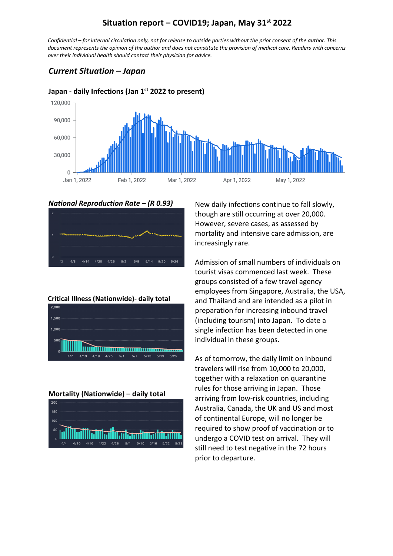### **Situation report – COVID19; Japan, May 31st 2022**

*Confidential – for internal circulation only, not for release to outside parties without the prior consent of the author. This document represents the opinion of the author and does not constitute the provision of medical care. Readers with concerns over their individual health should contact their physician for advice.*

### *Current Situation – Japan*



#### **Japan - daily Infections (Jan 1st 2022 to present)**





#### **Critical Illness (Nationwide)- daily total**



**Mortality (Nationwide) – daily total**



New daily infections continue to fall slowly, though are still occurring at over 20,000. However, severe cases, as assessed by mortality and intensive care admission, are increasingly rare.

Admission of small numbers of individuals on tourist visas commenced last week. These groups consisted of a few travel agency employees from Singapore, Australia, the USA, and Thailand and are intended as a pilot in preparation for increasing inbound travel (including tourism) into Japan. To date a single infection has been detected in one individual in these groups.

As of tomorrow, the daily limit on inbound travelers will rise from 10,000 to 20,000, together with a relaxation on quarantine rules for those arriving in Japan. Those arriving from low-risk countries, including Australia, Canada, the UK and US and most of continental Europe, will no longer be required to show proof of vaccination or to undergo a COVID test on arrival. They will still need to test negative in the 72 hours prior to departure.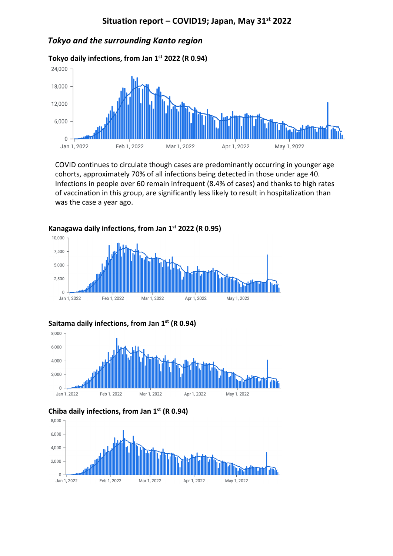#### *Tokyo and the surrounding Kanto region*



COVID continues to circulate though cases are predominantly occurring in younger age cohorts, approximately 70% of all infections being detected in those under age 40. Infections in people over 60 remain infrequent (8.4% of cases) and thanks to high rates of vaccination in this group, are significantly less likely to result in hospitalization than was the case a year ago.



**Kanagawa daily infections, from Jan 1st 2022 (R 0.95)**







Mar 1, 2022

Apr 1, 2022

May 1, 2022

#### **Chiba daily infections, from Jan 1st (R 0.94)**

Feb 1, 2022

Jan 1, 2022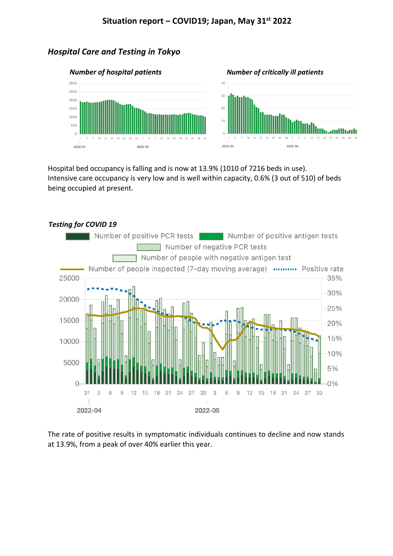## *Hospital Care and Testing in Tokyo*



Hospital bed occupancy is falling and is now at 13.9% (1010 of 7216 beds in use). Intensive care occupancy is very low and is well within capacity, 0.6% (3 out of 510) of beds being occupied at present.



The rate of positive results in symptomatic individuals continues to decline and now stands at 13.9%, from a peak of over 40% earlier this year.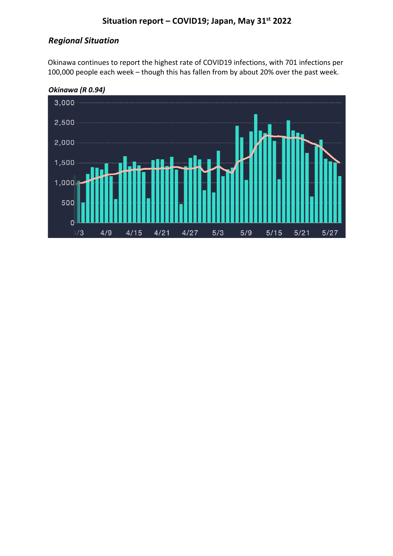# **Situation report – COVID19; Japan, May 31st 2022**

## *Regional Situation*

Okinawa continues to report the highest rate of COVID19 infections, with 701 infections per 100,000 people each week – though this has fallen from by about 20% over the past week.

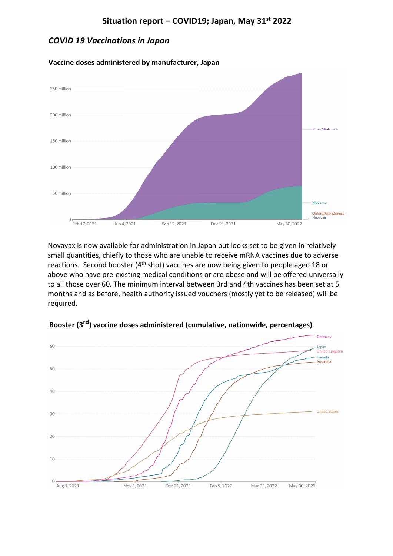### *COVID 19 Vaccinations in Japan*



**Vaccine doses administered by manufacturer, Japan**

Novavax is now available for administration in Japan but looks set to be given in relatively small quantities, chiefly to those who are unable to receive mRNA vaccines due to adverse reactions. Second booster ( $4<sup>th</sup>$  shot) vaccines are now being given to people aged 18 or above who have pre-existing medical conditions or are obese and will be offered universally to all those over 60. The minimum interval between 3rd and 4th vaccines has been set at 5 months and as before, health authority issued vouchers (mostly yet to be released) will be required.



**Booster (3rd) vaccine doses administered (cumulative, nationwide, percentages)**